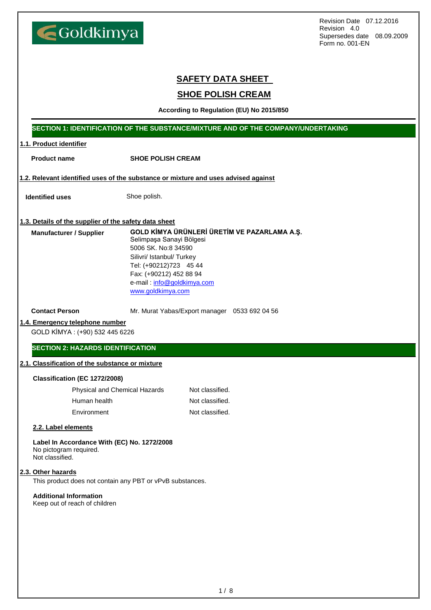$1 / 8$ 

Revision Date 07.12.2016 Revision 4.0 Supersedes date 08.09.2009 Form no. 001-EN

### **SAFETY DATA SHEET**

### **SHOE POLISH CREAM**

**According to Regulation (EU) No 2015/850**

#### **SECTION 1: IDENTIFICATION OF THE SUBSTANCE/MIXTURE AND OF THE COMPANY/UNDERTAKING**

#### **1.1. Product identifier**

**Product name SHOE POLISH CREAM**

**1.2. Relevant identified uses of the substance or mixture and uses advised against**

**Identified uses** Shoe polish.

Goldkimya

#### **1.3. Details of the supplier of the safety data sheet**

**GOLD KİMYA ÜRÜNLERİ ÜRETİM VE PAZARLAMA A.Ş.** Selimpaşa Sanayi Bölgesi 5006 SK. No:8 34590 Silivri/ Istanbul/ Turkey Tel: (+90212)723 45 44 Fax: (+90212) 452 88 94 e-mail : [info@goldkimya.com](mailto:info@goldkimya.com) [www.goldkimya.com](http://www.goldkimya.com/) **Manufacturer / Supplier**

**Contact Person** Mr. Murat Yabas/Export manager 0533 692 04 56

#### **1.4. Emergency telephone number**

GOLD KİMYA : (+90) 532 445 6226

**SECTION 2: HAZARDS IDENTIFICATION**

#### **2.1. Classification of the substance or mixture**

#### **Classification (EC 1272/2008)**

| <b>Physical and Chemical Hazards</b> | Not classified. |
|--------------------------------------|-----------------|
| Human health                         | Not classified. |
| Environment                          | Not classified. |

#### **2.2. Label elements**

**Label In Accordance With (EC) No. 1272/2008** No pictogram required.

Not classified.

#### **2.3. Other hazards**

This product does not contain any PBT or vPvB substances.

#### **Additional Information**

Keep out of reach of children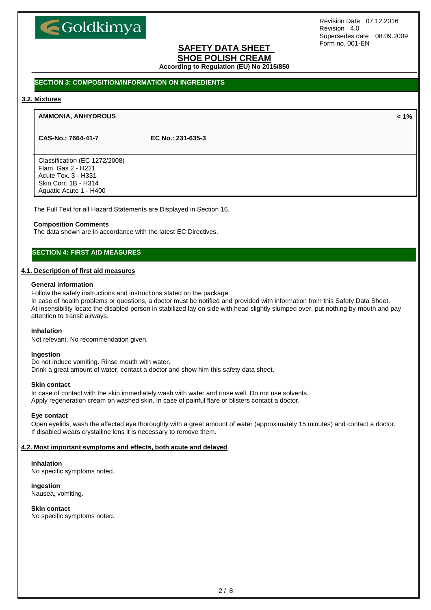# Goldkimya

Revision Date 07.12.2016 Revision 4.0 Supersedes date 08.09.2009 Form no. 001-EN

## **SAFETY DATA SHEET**

**SHOE POLISH CREAM**

**According to Regulation (EU) No 2015/850**

#### **SECTION 3: COMPOSITION/INFORMATION ON INGREDIENTS**

#### **3.2. Mixtures**

#### **AMMONIA, ANHYDROUS < 1%**

**CAS-No.: 7664-41-7 EC No.: 231-635-3**

Classification (EC 1272/2008) Flam. Gas 2 - H221 Acute Tox. 3 - H331 Skin Corr. 1B - H314 Aquatic Acute 1 - H400

The Full Text for all Hazard Statements are Displayed in Section 16.

#### **Composition Comments**

The data shown are in accordance with the latest EC Directives.

#### **SECTION 4: FIRST AID MEASURES**

#### **4.1. Description of first aid measures**

#### **General information**

Follow the safety instructions and instructions stated on the package.

In case of health problems or questions, a doctor must be notified and provided with information from this Safety Data Sheet. At insensibility locate the disabled person in stabilized lay on side with head slightly slumped over, put nothing by mouth and pay attention to transit airways.

#### **Inhalation**

Not relevant. No recommendation given.

#### **Ingestion**

Do not induce vomiting. Rinse mouth with water. Drink a great amount of water, contact a doctor and show him this safety data sheet.

#### **Skin contact**

In case of contact with the skin immediately wash with water and rinse well. Do not use solvents. Apply regeneration cream on washed skin. In case of painful flare or blisters contact a doctor.

#### **Eye contact**

Open eyelids, wash the affected eye thoroughly with a great amount of water (approximately 15 minutes) and contact a doctor. If disabled wears crystalline lens it is necessary to remove them.

#### **4.2. Most important symptoms and effects, both acute and delayed**

#### **Inhalation**

No specific symptoms noted.

#### **Ingestion**

Nausea, vomiting.

#### **Skin contact**

No specific symptoms noted.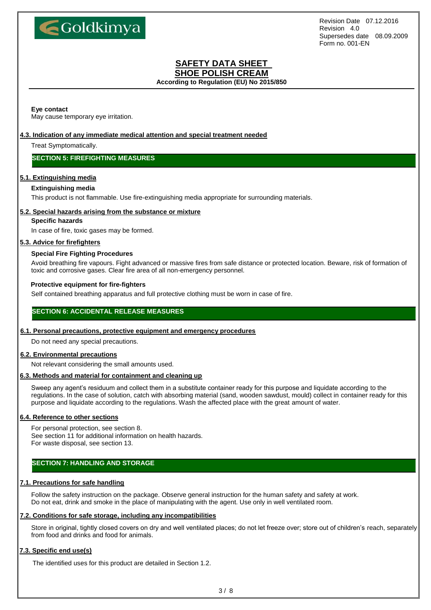

## **SAFETY DATA SHEET**

**SHOE POLISH CREAM According to Regulation (EU) No 2015/850**

#### **Eye contact**

May cause temporary eye irritation.

#### **4.3. Indication of any immediate medical attention and special treatment needed**

Treat Symptomatically.

#### **SECTION 5: FIREFIGHTING MEASURES**

#### **5.1. Extinguishing media**

#### **Extinguishing media**

This product is not flammable. Use fire-extinguishing media appropriate for surrounding materials.

#### **5.2. Special hazards arising from the substance or mixture**

#### **Specific hazards**

In case of fire, toxic gases may be formed.

#### **5.3. Advice for firefighters**

#### **Special Fire Fighting Procedures**

Avoid breathing fire vapours. Fight advanced or massive fires from safe distance or protected location. Beware, risk of formation of toxic and corrosive gases. Clear fire area of all non-emergency personnel.

#### **Protective equipment for fire-fighters**

Self contained breathing apparatus and full protective clothing must be worn in case of fire.

#### **SECTION 6: ACCIDENTAL RELEASE MEASURES**

#### **6.1. Personal precautions, protective equipment and emergency procedures**

Do not need any special precautions.

#### **6.2. Environmental precautions**

Not relevant considering the small amounts used.

#### **6.3. Methods and material for containment and cleaning up**

Sweep any agent's residuum and collect them in a substitute container ready for this purpose and liquidate according to the regulations. In the case of solution, catch with absorbing material (sand, wooden sawdust, mould) collect in container ready for this purpose and liquidate according to the regulations. Wash the affected place with the great amount of water.

#### **6.4. Reference to other sections**

For personal protection, see section 8. See section 11 for additional information on health hazards. For waste disposal, see section 13.

#### **SECTION 7: HANDLING AND STORAGE**

#### **7.1. Precautions for safe handling**

Follow the safety instruction on the package. Observe general instruction for the human safety and safety at work. Do not eat, drink and smoke in the place of manipulating with the agent. Use only in well ventilated room.

#### **7.2. Conditions for safe storage, including any incompatibilities**

Store in original, tightly closed covers on dry and well ventilated places; do not let freeze over; store out of children's reach, separately from food and drinks and food for animals.

#### **7.3. Specific end use(s)**

The identified uses for this product are detailed in Section 1.2.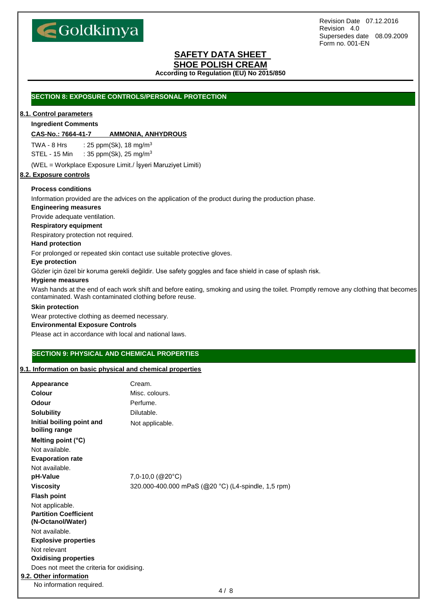

## **SAFETY DATA SHEET**

#### **SHOE POLISH CREAM**

**According to Regulation (EU) No 2015/850**

#### **SECTION 8: EXPOSURE CONTROLS/PERSONAL PROTECTION**

#### **8.1. Control parameters**

#### **Ingredient Comments**

#### **CAS-No.: 7664-41-7 AMMONIA, ANHYDROUS**

TWA - 8 Hrs :  $25$  ppm(Sk), 18 mg/m<sup>3</sup> STEL - 15 Min : 35 ppm(Sk), 25 mg/m<sup>3</sup>

(WEL = Workplace Exposure Limit./ İşyeri Maruziyet Limiti)

#### **8.2. Exposure controls**

#### **Process conditions**

Information provided are the advices on the application of the product during the production phase.

#### **Engineering measures**

Provide adequate ventilation.

#### **Respiratory equipment**

Respiratory protection not required.

#### **Hand protection**

For prolonged or repeated skin contact use suitable protective gloves.

#### **Eye protection**

Gözler için özel bir koruma gerekli değildir. Use safety goggles and face shield in case of splash risk.

#### **Hygiene measures**

Wash hands at the end of each work shift and before eating, smoking and using the toilet. Promptly remove any clothing that becomes contaminated. Wash contaminated clothing before reuse.

#### **Skin protection**

Wear protective clothing as deemed necessary.

#### **Environmental Exposure Controls**

Please act in accordance with local and national laws.

#### **SECTION 9: PHYSICAL AND CHEMICAL PROPERTIES**

#### **9.1. Information on basic physical and chemical properties**

| Appearance                                        | Cream.                                              |
|---------------------------------------------------|-----------------------------------------------------|
| Colour                                            | Misc. colours.                                      |
| Odour                                             | Perfume.                                            |
| <b>Solubility</b>                                 | Dilutable.                                          |
| Initial boiling point and<br>boiling range        | Not applicable.                                     |
| Melting point (°C)                                |                                                     |
| Not available.                                    |                                                     |
| <b>Evaporation rate</b>                           |                                                     |
| Not available.                                    |                                                     |
| pH-Value                                          | $7,0-10,0$ (@20 $^{\circ}$ C)                       |
| <b>Viscosity</b>                                  | 320.000-400.000 mPaS (@20 °C) (L4-spindle, 1,5 rpm) |
| <b>Flash point</b>                                |                                                     |
| Not applicable.                                   |                                                     |
| <b>Partition Coefficient</b><br>(N-Octanol/Water) |                                                     |
| Not available.                                    |                                                     |
| <b>Explosive properties</b>                       |                                                     |
| Not relevant                                      |                                                     |
| <b>Oxidising properties</b>                       |                                                     |
| Does not meet the criteria for oxidising.         |                                                     |
| 9.2. Other information                            |                                                     |
| No information required.                          |                                                     |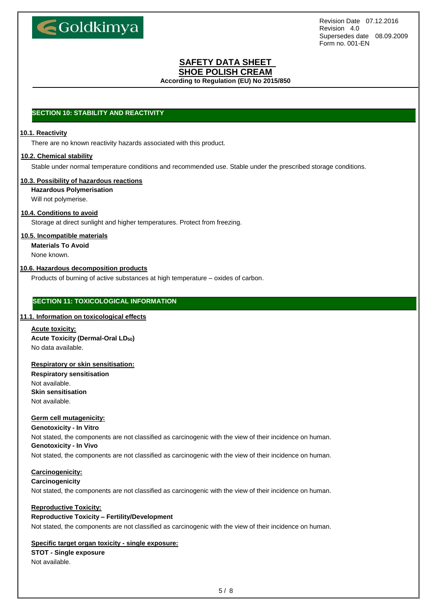

## **SAFETY DATA SHEET**

**SHOE POLISH CREAM**

**According to Regulation (EU) No 2015/850**

#### **SECTION 10: STABILITY AND REACTIVITY**

#### **10.1. Reactivity**

There are no known reactivity hazards associated with this product.

#### **10.2. Chemical stability**

Stable under normal temperature conditions and recommended use. Stable under the prescribed storage conditions.

#### **10.3. Possibility of hazardous reactions**

**Hazardous Polymerisation**

Will not polymerise.

#### **10.4. Conditions to avoid**

Storage at direct sunlight and higher temperatures. Protect from freezing.

#### **10.5. Incompatible materials**

**Materials To Avoid**

None known.

#### **10.6. Hazardous decomposition products**

Products of burning of active substances at high temperature – oxides of carbon.

#### **SECTION 11: TOXICOLOGICAL INFORMATION**

#### **11.1. Information on toxicological effects**

**Acute toxicity: Acute Toxicity (Dermal-Oral LD50)** No data available.

#### **Respiratory or skin sensitisation:**

**Respiratory sensitisation** Not available. **Skin sensitisation** Not available.

#### **Germ cell mutagenicity:**

**Genotoxicity - In Vitro**

Not stated, the components are not classified as carcinogenic with the view of their incidence on human. **Genotoxicity - In Vivo**

Not stated, the components are not classified as carcinogenic with the view of their incidence on human.

#### **Carcinogenicity:**

#### **Carcinogenicity**

Not stated, the components are not classified as carcinogenic with the view of their incidence on human.

#### **Reproductive Toxicity:**

#### **Reproductive Toxicity – Fertility/Development**

Not stated, the components are not classified as carcinogenic with the view of their incidence on human.

#### **Specific target organ toxicity - single exposure:**

#### **STOT - Single exposure** Not available.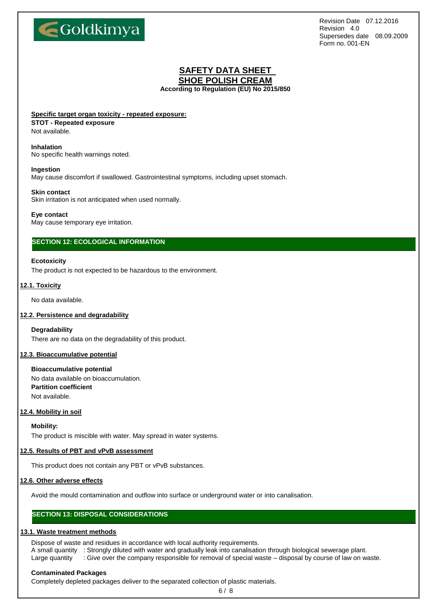

## **SAFETY DATA SHEET SHOE POLISH CREAM**

**According to Regulation (EU) No 2015/850**

#### **Specific target organ toxicity - repeated exposure:**

#### **STOT - Repeated exposure**

Not available.

#### **Inhalation**

No specific health warnings noted.

#### **Ingestion**

May cause discomfort if swallowed. Gastrointestinal symptoms, including upset stomach.

#### **Skin contact**

Skin irritation is not anticipated when used normally.

#### **Eye contact**

May cause temporary eye irritation.

#### **SECTION 12: ECOLOGICAL INFORMATION**

#### **Ecotoxicity**

The product is not expected to be hazardous to the environment.

#### **12.1. Toxicity**

No data available.

#### **12.2. Persistence and degradability**

#### **Degradability**

There are no data on the degradability of this product.

#### **12.3. Bioaccumulative potential**

#### **Bioaccumulative potential** No data available on bioaccumulation. **Partition coefficient** Not available.

#### **12.4. Mobility in soil**

**Mobility:**

The product is miscible with water. May spread in water systems.

#### **12.5. Results of PBT and vPvB assessment**

This product does not contain any PBT or vPvB substances.

#### **12.6. Other adverse effects**

Avoid the mould contamination and outflow into surface or underground water or into canalisation.

#### **SECTION 13: DISPOSAL CONSIDERATIONS**

#### **13.1. Waste treatment methods**

Dispose of waste and residues in accordance with local authority requirements.

A small quantity : Strongly diluted with water and gradually leak into canalisation through biological sewerage plant. Large quantity : Give over the company responsible for removal of special waste – disposal by course of law on waste.

#### **Contaminated Packages**

Completely depleted packages deliver to the separated collection of plastic materials.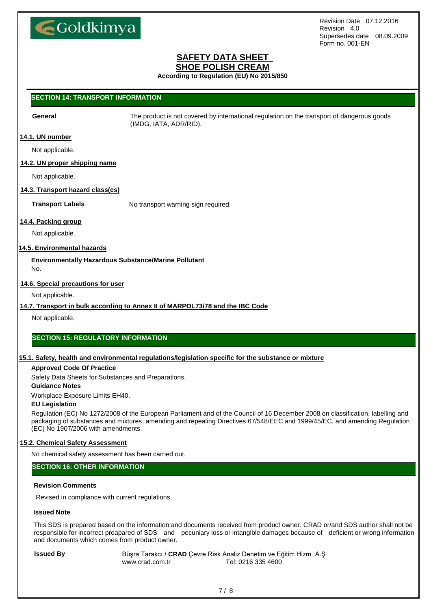

#### **SAFETY DATA SHEET SHOE POLISH CREAM**

**According to Regulation (EU) No 2015/850**

#### **SECTION 14: TRANSPORT INFORMATION**

**General** The product is not covered by international regulation on the transport of dangerous goods (IMDG, IATA, ADR/RID).

#### **14.1. UN number**

Not applicable.

#### **14.2. UN proper shipping name**

Not applicable.

#### **14.3. Transport hazard class(es)**

**Transport Labels** No transport warning sign required.

#### **14.4. Packing group**

Not applicable.

#### **14.5. Environmental hazards**

**Environmentally Hazardous Substance/Marine Pollutant** No.

#### **14.6. Special precautions for user**

Not applicable.

#### **14.7. Transport in bulk according to Annex II of MARPOL73/78 and the IBC Code**

Not applicable.

#### **SECTION 15: REGULATORY INFORMATION**

#### **15.1. Safety, health and environmental regulations/legislation specific for the substance or mixture**

#### **Approved Code Of Practice**

Safety Data Sheets for Substances and Preparations.

#### **Guidance Notes**

Workplace Exposure Limits EH40.

#### **EU Legislation**

Regulation (EC) No 1272/2008 of the European Parliament and of the Council of 16 December 2008 on classification, labelling and packaging of substances and mixtures, amending and repealing Directives 67/548/EEC and 1999/45/EC, and amending Regulation (EC) No 1907/2006 with amendments.

#### **15.2. Chemical Safety Assessment**

No chemical safety assessment has been carried out.

#### **SECTION 16: OTHER INFORMATION**

#### **Revision Comments**

Revised in compliance with current regulations.

#### **Issued Note**

This SDS is prepared based on the information and documents received from product owner. CRAD or/and SDS author shall not be responsible for incorrect preapared of SDS and pecuniary loss or intangible damages because of deficient or wrong information and documents which comes from product owner.

**Issued By** Büşra Tarakcı / CRAD Çevre Risk Analiz Denetim ve Eğitim Hizm. A.Ş www.crad.com.tr Tel: 0216 335 4600